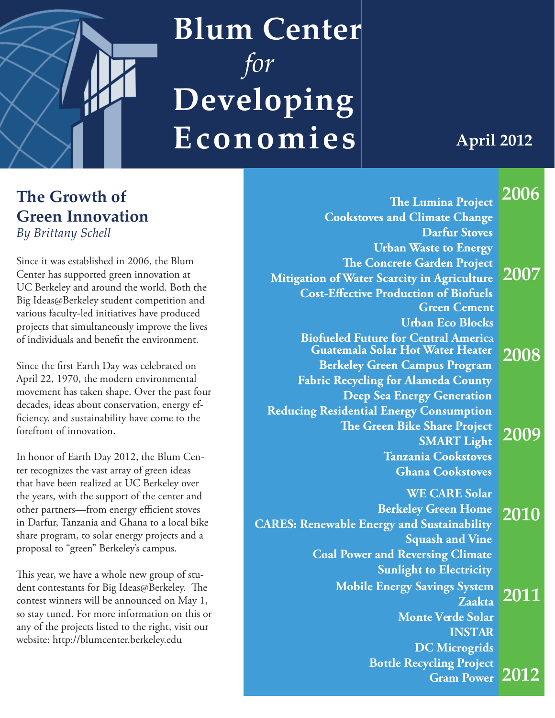

### **Blum Center**  *for* **Developing Economies**

**April 2012**

**2006**

### **The Growth of Green Innovation**

*By Brittany Schell*

Since it was established in 2006, the Blum Center has supported green innovation at UC Berkeley and around the world. Both the Big Ideas@Berkeley student competition and various faculty-led initiatives have produced projects that simultaneously improve the lives of individuals and benefit the environment.

Since the first Earth Day was celebrated on April 22, 1970, the modern environmental movement has taken shape. Over the past four decades, ideas about conservation, energy efficiency, and sustainability have come to the forefront of innovation.

In honor of Earth Day 2012, the Blum Center recognizes the vast array of green ideas that have been realized at UC Berkeley over the years, with the support of the center and other partners—from energy efficient stoves in Darfur, Tanzania and Ghana to a local bike share program, to solar energy projects and a proposal to "green" Berkeley's campus.

This year, we have a whole new group of student contestants for Big Ideas@Berkeley. The contest winners will be announced on May 1, so stay tuned. For more information on this or any of the projects listed to the right, visit our website: http://blumcenter.berkeley.edu

| $\tilde{\phantom{a}}$ | <b>The Lumina Project</b>                                                       |
|-----------------------|---------------------------------------------------------------------------------|
|                       | <b>Cookstoves and Climate Change</b>                                            |
|                       | <b>Darfur Stoves</b>                                                            |
| 2007<br>2008          | <b>Urban Waste to Energy</b>                                                    |
|                       | <b>The Concrete Garden Project</b>                                              |
|                       | <b>Mitigation of Water Scarcity in Agriculture</b>                              |
|                       | <b>Cost-Effective Production of Biofuels</b>                                    |
|                       | <b>Green Cement</b>                                                             |
|                       | <b>Urban Eco Blocks</b>                                                         |
|                       | <b>Biofueled Future for Central America</b><br>Guatemala Solar Hot Water Heater |
|                       | <b>Berkeley Green Campus Program</b>                                            |
|                       | <b>Fabric Recycling for Alameda County</b>                                      |
|                       | <b>Deep Sea Energy Generation</b>                                               |
| 2009                  | <b>Reducing Residential Energy Consumption</b>                                  |
|                       | The Green Bike Share Project                                                    |
|                       | <b>SMART Light</b>                                                              |
|                       | <b>Tanzania Cookstoves</b>                                                      |
|                       | <b>Ghana Cookstoves</b>                                                         |
| 2010                  | <b>WE CARE Solar</b>                                                            |
|                       | <b>Berkeley Green Home</b>                                                      |
|                       | <b>CARES: Renewable Energy and Sustainability</b>                               |
|                       | <b>Squash and Vine</b>                                                          |
|                       | <b>Coal Power and Reversing Climate</b>                                         |
| 2011                  | <b>Sunlight to Electricity</b>                                                  |
|                       |                                                                                 |
|                       | <b>Mobile Energy Savings System</b>                                             |
|                       | Zaakta                                                                          |
|                       | <b>Monte Verde Solar</b>                                                        |
|                       | <b>INSTAR</b>                                                                   |
| 2012                  | <b>DC Microgrids</b>                                                            |
|                       | <b>Bottle Recycling Project</b>                                                 |
|                       | <b>Gram Power</b>                                                               |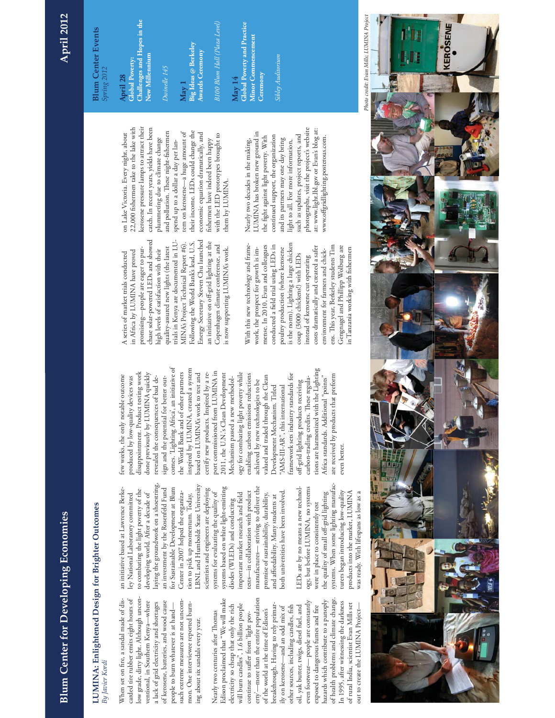# **Blum Center for Developing Economies Blum Center for Developing Economies**

## **April 2012**

## LUMINA: Enlightened Design for Brighter Outcomes **LUMINA: Enlightened Design for Brighter Outcomes** 3y Javier Kordi *By Javier Kordi*

low grade, dirty light. Although uncon-When set on fire, a sandal made of discarded tire rubber emits eight hours of low grade, dirty light. Although uncon-When set on fire, a sandal made of discarded tire rubber emits eight hours of of kerosene, batteries, and wood cause such extreme measures are not uncomventional, in Southern Kenya-where ventional, in Southern Kenya—where of kerosene, batteries, and wood cause such extreme measures are not uncoma lack of grid electricity and shortages a lack of grid electricity and shortages people to burn whatever is at hand mon. One interviewee reported burnmon. One interviewee reported burnpeople to burn whatever is at handing about six sandals every year. ing about six sandals every year.

of health problems and climate change. erty'—more than the entire population Edison proclaimed that "We will make of health problems and climate change. erty'—more than the entire population even footwear— people are constantly hazards which contribute to a panoply Edison proclaimed that "We will make even footwear-people are constantly hazards which contribute to a panoply In 1995, after witnessing the darkness In 1995, after witnessing the darkness of rural India, scientist Evan Mills set electricity so cheap that only the rich will burn candles", 1.6 billion people will burn candles", 1.6 billion people breakthrough. Having to rely primarelectricity so cheap that only the rich breakthrough. Having to rely primarother sources, including candles, fish oil, yak butter, twigs, diesel fuel, and oil, yak butter, twigs, diesel fuel, and exposed to dangerous fumes and fire of rural India, scientist Evan Mills set out to create the LUMINA Project ily on kerosene—and an odd mix of ily on kerosene—and an odd mix of other sources, including candles, fish exposed to dangerous fumes and fire out to create the LUMINA Projectof the world at the time of Edison's of the world at the time of Edison's Nearly two centuries after Thomas Nearly two centuries after Thomas continue to suffer from 'light povcontinue to suffer from 'light pov-

laying the groundwork on a shoestring, laying the groundwork on a shoestring, LBNL and Humboldt State University LBNL and Humboldt State University for Sustainable Development at Blum systems based on white light-emitting manufactures— striving to deliver the manufactures—striving to deliver the an investment by the Rosenfeld Fund for Sustainable Development at Blum scientists and engineers are deploying an initiative based at Lawrence Berkean initiative based at Lawrence Berketo combating the light poverty of the to combating the light poverty of the an investment by the Rosenfeld Fund scientists and engineers are deploying systems based on white light-emitting both universities have been involved. Center in 2007 helped the organizatests—in collaboration with product tests-in collaboration with product ley National Laboratory committed developing world. After a decade of Center in 2007 helped the organizasystems for evaluating the quality of systems for evaluating the quality of important market research and field important market research and field promise of sustainability, durability, both universities have been involved ley National Laboratory committed developing world. After a decade of tion to pick up momentum. Today, tion to pick up momentum. Today, promise of sustainability, durability, and affordability. Many students at and affordability. Many students at diodes (WLEDs) and conducting diodes (WLEDs) and conducting

systems. When some lighting manufacsystems. When some lighting manufacogy, but before LUMINA, no systems LEDs are by no means a new technology, but before LUMINA, no systems LEDs are by no means a new technolturers began introducing low-quality turers began introducing low-quality products into the market, LUMINA products into the market, LUMINA was ready. With lifespans as low as a the quality of small off-grid lighting the quality of small off-grid lighting was ready. With lifespans as low as a were in place to consistently test were in place to consistently test

comes. 'Lighting Africa', an initiative of inspired by LUMINA, created a system comes. 'Lighting Africa', an initiative of tions are harmonized with the Lighting inspired by LUMINA, created a system tions are harmonized with the Lighting disappointment. Product testing work the World Bank and of other partners port commissioned from LUMINA in port commissioned from LUMINA in done previously by LUMINA quickly the World Bank and of other partners ogy for combating light poverty while disappointment. Product testing work done previously by LUMINA quickly based on LUMINA's work to test and based on LUMINA's work to test and certify new products. Inspired by a recertify new products. Inspired by a re-2011, the U.N.'s Clean Development ogy for combating light poverty while enabling carbon emissions reductions framework sets industry standards for are received by products that preform few weeks, the only notable outcome 2011, the U.N.'s Clean Development enabling carbon emissions reductions valued and traded through the Clean framework sets industry standards for are received by products that preform few weeks, the only notable outcome produced by low-quality devices was revealed the consequences of bad de-Africa standards. Additional "points" Africa standards. Additional "points" produced by low-quality devices was revealed the consequences of bad design and the potential for better out-Mechanism passed a new methodolvalued and traded through the Clean carbon-trading credits. These regulasign and the potential for better out-Mechanism passed a new methodolcarbon-trading credits. These regulaachieved by new technologies to be achieved by new technologies to be off-grid lighting products receiving off-grid lighting products receiving Development Mechanism. Titled Development Mechanism. Titled "AMS-III-AR", this international 'AMS-III-AR", this international even better. even better.

chase solar-powered LEDs and showed Energy Secretary Steven Chu launched chase solar-powered LEDs and showed trials in Kenya are documented in LU-Following the World Bank's lead, U.S. Energy Secretary Steven Chu launched trials in Kenya are documented in LU-MINA's Project Technical Report #6). Following the World Bank's lead, U.S. an initiative on off-grid lighting at the an initiative on off-grid lighting at the MINA's Project Technical Report #6). Copenhagen climate conference, and Copenhagen climate conference, and quality-assured new lights (the latest quality-assured new lights (the latest promising—people are eager to puris now supporting LUMINA's work. in Africa by LUMINA have proved promising—people are eager to purhigh levels of satisfaction with their high levels of satisfaction with their is now supporting LUMINA's work. in Africa by LUMINA have proved A series of market trials conducted A series of market trials conducted

is the norm). Lighting a large chicken With this new technology and framemense. In 2010, Evan and colleagues conducted a field trial using LEDs in is the norm). Lighting a large chicken ens. This year, Berkeley students Tim With this new technology and framemense. In 2010, Evan and colleagues conducted a field trial using LEDs in costs dramatically and created a safer costs dramatically and created a safer Gengnagel and Phillipp Wolburg are ens. This year, Berkeley students Tim Gengnagel and Phillipp Wolburg are in Tanzania working with fishermen work, the prospect for growth is impoultry production (where kerosene poultry production (where kerosene work, the prospect for growth is imenvironment for farmers and chickin Tanzania working with fishermen environment for farmers and chickcoup (3000 chickens!) with LEDs coup (3000 chickens!) with LEDs instead of kerosene cut operating instead of kerosene cut operating

kerosene pressure lamps to attract their 22,000 fishermen take to the lake with catch. In recent years, yields have been catch. In recent years, yields have been kerosene pressure lamps to attract their 22,000 fishermen take to the lake with and pollution. These night-fishermen and pollution. These night-fishermen their income. LEDs could change the their income. LEDs could change the tern on kerosene-a huge amount of tern on kerosene—a huge amount of economic equation dramatically, and on Lake Victoria. Every night, about economic equation dramatically, and with the LED prototypes brought to with the LED prototypes brought to on Lake Victoria. Every night, about plummeting due to climate change plummeting due to climate change spend up to a dollar a day per lanfishermen have indeed been happy fishermen have indeed been happy spend up to a dollar a day per lanthem by LUMINA. them by LUMINA.

photographs, visit the project's website photographs, visit the project's website at: www.light.lbl.gov or Evan's blog at: at: www.light.lbl.gov or Evan's blog at: LUMINA has broken new ground in LUMINA has broken new ground in continued support, the organization such as updates, project reports, and such as updates, project reports, and the fight against light poverty. With continued support, the organization www.offgridlighting.posterous.com. the fight against light poverty. With and its partners may one day bring www.offgridlighting.posterous.com. Nearly two decades in the making, and its partners may one day bring light to all. For more information, Nearly two decades in the making, light to all. For more information,

### **Blum Center Events Blum Center Events** Spring 2012 *Spring 2012*

**Challenges and Hopes in the**  Challenges and Hopes in the New Millennium **Global Poverty: April 28**

**New Millennium**

### Dwinelle 145 *Dwinelle 145*

**Big Ideas @ Berkeley May 1** Awards Ceremony **Awards Ceremony** 3100 Blum Hall (Plaza Level) *B100 Blum Hall (Plaza Level)*

**Global Poverty and Practice**  Global Poverty and Practice **Minor Commencement Minor Commencement Ceremony May 14**

*Sibley Auditorium*  sibley Auditorium

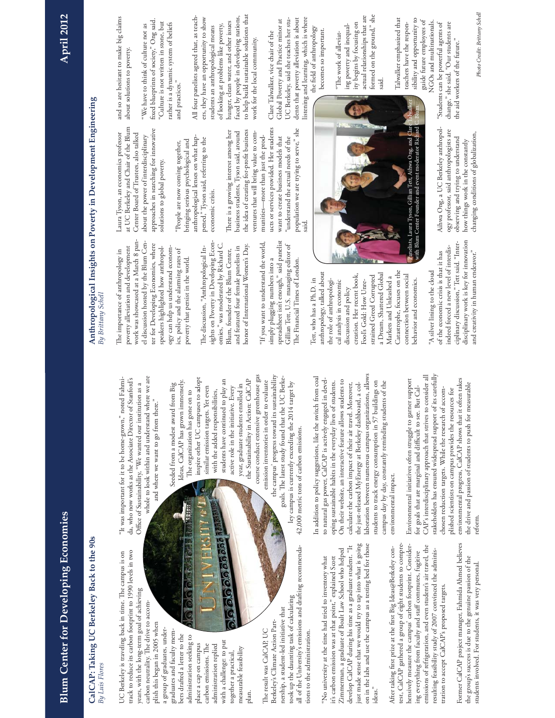### CalCAP: Taking UC Berkeley Back to the 90s **CalCAP: Taking UC Berkeley Back to the 90s** By Luis Flores *By Luis Flores*

UC Berkeley is traveling back in time. The campus is on track to reduce its carbon footprint to 1990 levels in two UC Berkeley is traveling back in time. The campus is on track to reduce its carbon footprint to 1990 levels in two years, with the long-term goal of achieving years, with the long-term goal of achieving carbon neutrality. The drive to accomcarbon neutrality. The drive to accom-

plish this began in 2005 when plish this began in 2005 when a group of graduates, undera group of graduates, undergraduates and faculty memgraduates and faculty members drafted a letter to the bers drafted a letter to the administration seeking to administration seeking to with a challenge: to put with a challenge: to put place a cap on campus place a cap on campus administration replied carbon emissions. The carbon emissions. The administration replied measurable feasibility neasurable feasibility together a practical, together a practical, plan.

1711111

o lolo lo cosocoso an

**FRSIT #1** 

00000

all of the University's emissions and drafting recommendaall of the University's emissions and drafting recommendatook up the daunting task of calculating took up the daunting task of calculating nership, a student-led initiative that nership, a student-led initiative that Berkeley's Climate Action Part-Berkeley's Climate Action Part-The result was CalCAP, UC The result was CalCAP, UC tions to the administration. tions to the administration.

ley campus is currently exceeding the 2014 target by

ley campus is currently exceeding the 2014 target by

just made sense that we would try to tap into what is going on in the labs and use the campus as a testing bed for those ust made sense that we would try to tap into what is going on in the labs and use the campus as a testing bed for those develop CalCAP during his time as a graduate student. "It develop CalCAP during his time as a graduate student. "It Zimmerman, a graduate of Boalt Law School who helped Zimmerman, a graduate of Boalt Law School who helped "No university at the time had tried to inventory what it's carbon emission was at that point," explained Scott 'No university at the time had tried to inventory what it's carbon emission was at that point," explained Scott ideas."

test, CalCAP gathered a group of eight students to comprehensively measure the campus' carbon footprint. Considertest, CalCAP gathered a group of eight students to comprehensively measure the campus' carbon footprint. Consideremissions of refrigeration, and even student's air travel, the emissions of refrigeration, and even student's air travel, the After taking first prize at the first Big Ideas@Berkeley con-After taking first prize at the first Big Ideas@Berkeley coning everything from faculty and staff commutes, fugitive resulting feasibility study of 2007 convinced the adminisresulting feasibility study of 2007 convinced the adminising everything from faculty and staff commutes, fugitive tration to accept CalCAP's proposed targets. tration to accept CalCAP's proposed targets. Former CalCAP project manager, Fahmida Ahmed believes Former CalCAP project manager, Fahmida Ahmed believes the group's success is due to the genuine passion of the the group's success is due to the genuine passion of the students involved. For students, it was very personal. students involved. For students, it was very personal.

whole to look within and understand where we are whole to look within and understand where we are da, who now works as the Associate Director of Stanford's "It was important for it to be home-grown," noted Fahmi-"It was important for it to be home-grown," noted Fahmida, who now works as the Associate Director of Stanford's Office of Sustainability, "We wanted our institution as a Office of Sustainability, "We wanted our institution as a and where we want to go from there." and where we want to go from there."

course conduct extensive greenhouse gas the campus' progress toward its sustainability inspire other UC campuses to adopt course conduct extensive greenhouse gas the campus' progress toward its sustainability goals. The latest study found that the UC Berkegoals. The latest study found that the UC Berke-Ideas, CalCAP has grown immensely. inspire other UC campuses to adopt students have continued to play an the Sustainability in Action: CalCAP students have continued to play an the Sustainability in Action: CalCAP emission inventories in order to evaluate Ideas, CalCAP has grown immensely. emission inventories in order to evaluate Seeded from a modest award from Big Seeded from a modest award from Big year, graduate students enrolled in year, graduate students enrolled in active role in the initiative. Every similar emission targets. Yet even similar emission targets. Yet even active role in the initiative. Every with the added responsibilities, The organization has gone on to The organization has gone on to with the added responsibilities,

laboration between numerous campus organizations, allows laboration between numerous campus organizations, allows In addition to policy suggestions, like the switch from coal In addition to policy suggestions, like the switch from coal to natural gas power, CalCAP is actively engaged in develto natural gas power, CalCAP is actively engaged in devel-On their website, an interactive feature allows students to oping sustainable habits in the everyday lives of students. oping sustainable habits in the everyday lives of students. On their website, an interactive feature allows students to students to track energy consumption in 57 buildings on students to track energy consumption in 57 buildings on calculate the carbon impact of their air travel. Moreover, the just-released MyEnergy at Berkeley dashboard, a colcalculate the carbon impact of their air travel. Moreover, the just-released MyEnergy at Berkeley dashboard, a col- $42,000$  metric tons of carbon emissions. 42,000 metric tons of carbon emissions.

campus day by day, constantly reminding students of the

campus day by day, constantly reminding students of the

environmental impact.

environmental impact.

reform. *Photo Credit: Brittany Schell* stakeholders has ensured widespread support of its carefully CAP's interdisciplinary approach that strives to consider all CAP's interdisciplinary approach that strives to consider all stakeholders has ensured widespread support of its carefully Environmental initiatives often struggle to garner support environmental progress, CalCAP shows that it often takes Environmental initiatives often struggle to garner support environmental progress, CalCAP shows that it often takes the drive and passion of students to push for measurable the drive and passion of students to push for measurable for goals that are marginal and difficult to see. But Calfor goals that are marginal and difficult to see. But Calchosen reduction targets. While the research of accomchosen reduction targets. While the research of accomplished scientists on campus provides the resources for plished scientists on campus provides the resources for reform.

# Anthropological Insights on Poverty in Development Engineering **Anthropological Insights on Poverty in Development Engineering** By Brittany Schell *By Brittany Schell*

approaches in searching for innovative approaches in searching for innovative Center Board of Trustees, also talked Center Board of Trustees, also talked about the power of interdisciplinary about the power of interdisciplinary bringing serious psychological and bringing serious psychological and "People are now coming together, "People are now coming together, solutions to global poverty. solutions to global poverty. work was showcased at a March 8 panwork was showcased at a March 8 panel discussion hosted by the Blum Cenel discussion hosted by the Blum Center for Developing Economies, where poverty alleviation and development ter for Developing Economies, where poverty alleviation and development speakers highlighted how anthropol- $\frac{1}{\log y}$  can help us understand economogy can help us understand economspeakers highlighted how anthropol-The importance of anthropology in The importance of anthropology in ics, policy and the alarming rates of ics, policy and the alarming rates of poverty that persist in the world. poverty that persist in the world.

There is a growing interest among her the idea of creating for-profit business There is a growing interest among her business students, Tyson said, around the idea of creating for-profit business business students, Tyson said, around ventures that will bring value to comanthropological lenses on what hapanthropological lenses on what happened," Tyson said, referring to the pened," Tyson said, referring to the economic crisis. economic crisis. sights on Poverty in Developing Econsights on Poverty in Developing Economies," was moderated by Richard C. honor of International Women's Day. The discussion, "Anthropological Inomies," was moderated by Richard C. and featured four female panelists in honor of International Women's Day. and featured four female panelists in The discussion, "Anthropological In-Blum, founder of the Blum Center, Blum, founder of the Blum Center,

spreadsheet isn't enough," said panelist spreadsheet isn't enough," said panelist "If you want to understand the world, 'If you want to understand the world, Gillian Tett, U.S. managing editor of Gillian Tett, U.S. managing editor of simply plugging numbers into a simply plugging numbers into a The Financial Times of London. The Financial Times of London. said.

population we are trying to serve," she

ventures that will bring value to communities—more than just the products or services provided. Her students want to create business models that "understand the actual needs of the population we are trying to serve," she

munities-more than just the prodwant to create business models that "understand the actual needs of the

ucts or services provided. Her students

Catastrophe, focuses on the anthropology, talked about Catastrophe, focuses on the anthropology, talked about a Dream, Shattered Global creation. Her recent book, connection between social connection between social strained Greed Corrupted a Dream, Shattered Global creation. Her recent book, strained Greed Corrupted Markets and Unleashed a Markets and Unleashed a Tett, who has a Ph.D. in Tett, who has a Ph.D. in the role of anthropologithe role of anthropological analysis in economic cal analysis in economic behavior and economics. behavior and economics. Fool's Gold: How Unre-Fool's Gold: How Unrediscussion and policy discussion and policy

disciplinary work is key for innovation disciplinary work is key for innovation ciplinary discussion," Tett said. "Interciplinary discussion," Tett said. "Interindeed forced a new level of interdisindeed forced a new level of interdisand creativity in human endeavor." of the economic crisis is that it has of the economic crisis is that it has and creativity in human endeavor." "A silver lining to the cloud 'A silver lining to the cloud

and so are hesitant to make big claims and so are hesitant to make big claims about solutions to poverty. about solutions to poverty. at UC Berkeley and Chair of the Blum at UC Berkeley and Chair of the Blum Laura Tyson, an economics professor Laura Tyson, an economics professor

fixed blueprints of society," Ong said. fixed blueprints of society," Ong said. "Culture is not written in stone, but "Culture is not written in stone, but rather is a dynamic system of beliefs rather is a dynamic system of beliefs "We have to think of culture not as "We have to think of culture not as and practices." and practices."

to help build sustainable solutions that faced by people in developing nations, All four panelists agreed that, as teach-All four panelists agreed that, as teachers, they have an opportunity to show ers, they have an opportunity to show faced by people in developing nations, to help build sustainable solutions that hunger, clean water, and other issues hunger, clean water, and other issues of looking at problems like poverty, of looking at problems like poverty, students an anthropological means students an anthropological means work for the local community. work for the local community.

dents that poverty alleviation is about dents that poverty alleviation is about listening and learning, which is where listening and learning, which is where Global Poverty and Practice minor at UC Berkeley, said she teaches her stu-UC Berkeley, said she teaches her stu-Global Poverty and Practice minor at the field of anthropology the field of anthropology Clare Talwalker, vice chair of the Clare Talwalker, vice chair of the

ity begins by focusing on ity begins by focusing on ing poverty and inequaling poverty and inequalbecomes so important. becomes so important. "The work of alleviat-"The work of alleviat-

Talwalker emphasized that sibility and opportunity to Talwalker emphasized that sibility and opportunity to guide future employees of NGOs and multinationals. guide future employees of NGOs and multinationals. teachers have the responteachers have the respon-

"Students can be powerful agents of "Students can be powerful agents of change," she said. "Our students are change," she said. "Our students are the aid workers of the future." the aid workers of the future."

formed on the ground," she actual relationships that are actual relationships that are formed on the ground," she said. Panelists, Laura Tyson, Gillian Tett, Aihwa Ong, and Clare Talwalker with Blum Center Founder and event moderator Richard C. Blum.Panelists, Laura Tyson, Gillian Tett, Aihwa Ong, and Clar<br>with Blum Center Founder and event moderator Richard Tett, Aihwa

Aihwa Ong, a UC Berkeley anthropol-Aihwa Ong, a UC Berkeley anthropology professor, said anthropologists are ogy professor, said anthropologists are changing conditions of globalization, changing conditions of globalization, observing and trying to understand observing and trying to understand how things work in the constantly how things work in the constantly

Photo Credit: Brittany Schell

**April 2012**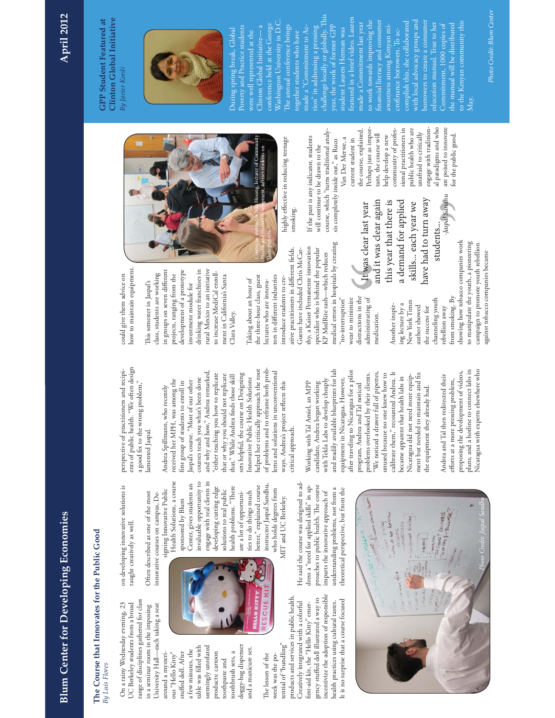# **Blum Center for Developing Economies Blum Center for Developing Economies**

## The Course that Innovates for the Public Good **The Course that Innovates for the Public Good By Luis Flores** *By Luis Flores*

range of disciplines gathered for class range of disciplines gathered for class On a rainy Wednesday evening, 23 UC Berkeley students from a broad On a rainy Wednesday evening, 23 University Hall—each taking a seat JC Berkeley students from a broad in a seminar room in the imposing in a seminar room in the imposing University Hall—each taking a seat around a mysteriaround a mysteri-

doggy-bag dispenser table was filled with seemingly unrelated doggy-bag dispenser table was filled with seemingly unrelated and a manicure set. ind a manicure set. a few minutes, the a few minutes, the stuffed doll. After stuffed doll. After products: cartoon toothbrush sets, a toothbrush sets, a ous "Hello Kitty" ous "Hello Kitty" products: cartoon toothpaste and toothpaste and

incentivize the adoption of responsible incentivize the adoption of responsible products and services in public health. products and services in public health. gency stuffed doll illustrated a way to gency stuffed doll illustrated a way to It is no surprise that a course focused health practices using cultural tastes. It is no surprise that a course focused Creatively integrated with a colorful Creatively integrated with a colorful first-aid kit, the "Hello Kitty" emerhealth practices using cultural tastes. first-aid kit, the "Hello Kitty" emertential of "bundling" tential of "bundling" The lesson of the The lesson of the week was the poweek was the po-

Health Solutions, a course engage with real clients in engage with real clients in Health Solutions, a course invaluable opportunity to invaluable opportunity to instructor Jaspal Sandhu, Center, gives students an Center, gives students an instructor Jaspal Sandhu, health problems. "There better," explained course developing cutting edge developing cutting edge health problems. "There better," explained course signing Innovative Public signing Innovative Public solutions to real public solutions to real public ties to do things much ties to do things much are a lot of opportuniare a lot of opportunisponsored by Blum sponsored by Blum **ELLO KITT** ESCUE

who holds degrees from who holds degrees from MIT and UC Berkeley. MIT and UC Berkeley. He said the course was designed to ad-He said the course was designed to address a "need for applied skills" in approaches to public health. The course proaches to public health. The course dress a "need for applied skills" in apunderstanding problems, not from a theoretical perspective, but from the understanding problems, not from a theoretical perspective, but from the imparts the innovative approach of imparts the innovative approach of

ents of public health. "We often design ents of public health. "We often design perspective of practitioners and recipia good fix to the wrong problem," a good fix to the wrong problem," lamented Jaspal. amented Jaspal. on developing innovative solutions is Often described as one of the most Often described as one of the most innovative courses on campus, Deinnovative courses on campus, De-

perspective of practitioners and recipi-

taught creatively as well.

taught creatively as well.

on developing innovative solutions is

helped her critically approach the root of problems and to reframe both proband why and how," Andrea remarked, helped her critically approach the root of problems and to reframe both problems and solutions in unconventional lems and solutions in unconventional and why and how," Andrea remarked, sets helpful, the course on Designing "either teaching you how to replicate that or why you should not replicate sets helpful, the course on Designing either teaching you how to replicate that or why you should not replicate that." While Andrea finds those skill that." While Andrea finds those skill courses teach you what's been done courses teach you what's been done Innovative Public Health Solutions Innovative Public Health Solutions received her MPH, was among the laspal's course. "Most of our other received her MPH, was among the first group of students to enroll in Jaspal's course. "Most of our other first group of students to enroll in ways. Andrea's project reflects this ways. Andrea's project reflects this Andrea Spillmann, who recently Andrea Spillmann, who recently critical approach. critical approach.

and readily available blueprints for lab and readily available blueprints for lab after traveling to Nicaragua for a pilot after traveling to Nicaragua for a pilot "We noticed a drawer full of pipettes, calibrate them," recounted Andrea. It problems overlooked by their clients. calibrate them," recounted Andrea. It ment but needed to maintain and fix "We noticed a drawer full of pipettes, unused because no one knew how to unused because no one knew how to Nicaragua did not need more equip-<br>ment but needed to maintain and fix problems overlooked by their clients. oecame apparent that health labs in Nicaragua did not need more equipbecame apparent that health labs in with Tekla Labs to develop cheaply with Tekla Labs to develop cheaply equipment in Nicaragua. However, equipment in Nicaragua. However, Working with Tal Amiel, an MPP Working with Tal Amiel, an MPP candidate, Andrea began working candidate, Andrea began working program, Andrea and Tal noticed program, Andrea and Tal noticed the equipment they already had. the equipment they already had.

*Journ*ie de America<br>June de Ne America

plans, and a hotline to connect labs in plans, and a hotline to connect labs in Nicaragua with experts elsewhere who proposing the development of videos, proposing the development of videos, Nicaragua with experts elsewhere who Andrea and Tal then redirected their Andrea and Tal then redirected their efforts at a more pressing problem, efforts at a more pressing problem,

LELINARIE

**AITING** 

WHO 3 3 - BILLING

*Photo Credit: Jaspal Sandhu*

how to maintain equipment. how to maintain equipment. could give them advice on could give them advice on

in groups on seven different in groups on seven different drinking water franchises in rural Mexico to an initiative rural Mexico to an initiative development of a prototype development of a prototype drinking water franchises in to increase MediCal enrollclass, students are working class, students are working to increase MediCal enrollprojects, ranging from the projects, ranging from the ment in California's Santa ment in California's Santa This semester in Jaspal's This semester in Jaspal's investment module for investment module for Clara Valley. Clara Valley.

medical errors in hospitals by creating medical errors in hospitals by creating ative practitioners in different fields. thy, a Kaiser Permanente innovation thy, a Kaiser Permanente innovation specialist who is behind the popular specialist who is behind the popular ative practitioners in different fields. Guests have included Chris McCar-Guests have included Chris McCar-KP MedRite sash-which reduces KP MedRite sash—which reduces the three-hour class, guest the three-hour class, guest tors in different industries tors in different industries introduce students to creintroduce students to cre-Taking about an hour of Taking about an hour of ectures who are innovalectures who are innova-

and it was clear again and it was clear again It was clear last year It was clear last year distractions in the "no-interruption" wear to minimize distractions in the administrating of administrating of no-interruption" wear to minimize medication. medication.

have had to turn away this year that there is a demand for applied have had to turn away this year that there is a demand for applied skills... each year we skills... each year we students... students... showing how tobacco companies work showing how tobacco companies work to manipulate the youth, a pioneering to manipulate the youth, a pioneering campaign to promote youth rebellion campaign to promote youth rebellion against tobacco companies became against tobacco companies became from smoking. By from smoking. By channeling youth channeling youth New York Times New York Times ing lecture by a ing lecture by a Another inspir-Another inspirauthor showed author showed rebellion away the success for the success for rebellion away

are poised to innovate for the public good.

are poised to innovate

for the public good.

*-Jaspal Sandhu*

Jaspal Sandhu

Course co-instructor Nap Hosang, lecturer of Community Health and Human development, advises students on

highly effective in reducing teenage highly effective in reducing teenage smoking.

their projects.

course, which "turns traditional analycourse, which "turns traditional analy-If the past is any indicator, students If the past is any indicator, students sis completely inside out," as Ruco sis completely inside out," as Ruco will continue to be drawn to the will continue to be drawn to the

al paradigms and who the course, explained. Perhaps just as imporsional practitioners in public health who are engage with traditional paradigms and who Perhaps just as imporcommunity of profescommunity of professional practitioners in public health who are engage with traditionthe course, explained. unafraid to critically unafraid to critically tant, the course will tant, the course will help develop a new Van Der Merwe, a Van Der Merwe, a current student in help develop a new current student in

**GPP Student Featured at**  Clinton Global Initiative **Clinton Global Initiative** GPP Student Featured at By Javier Kordi *By Javier Kordi* 



challenge locally or globally. This featured in a brief video. Lauren Washington University in D.C. challenge locally or globally. Thi to work towards improving the financial literacy and consumer with local advocacy groups and borrowers to create a consumer Washington University in D.C. eatured in a brief video. Lauren complish this, she collaborated to the Kenyan community this made a Commitment last year to work towards improving the financial literacy and consumer with local advocacy groups and porrowers to create a consumer education manual. True to her the manual will be distributed conference held at the George complish this, she collaborated education manual. True to her Commitment, 1000 copies of o the Kenyan community this The annual conference brings year, the work of former GPP made a Commitment last vear Commitment, 1000 copies of the manual will be distributed Poverty and Practice students Poverty and Practice students Clinton Global Initiative— a conference held at the George The annual conference brings tion" in addressing a pressing wareness among Kenyan miawareness among Kenyan mi-Clinton Global Initiative—a made a "Commitment to Acmade a "Commitment to Ac-During spring break, Global During spring break, Global ion" in addressing a pressing rear, the work of former GPI tudent Lauren Herman was student Lauren Herman was crofinance borrowers. To accrofinance borrowers. To acwere well represented at the together students who have were well represented at the together students who have

Photo Credit: Blum Center *Photo Credit: Blum Center*

May.